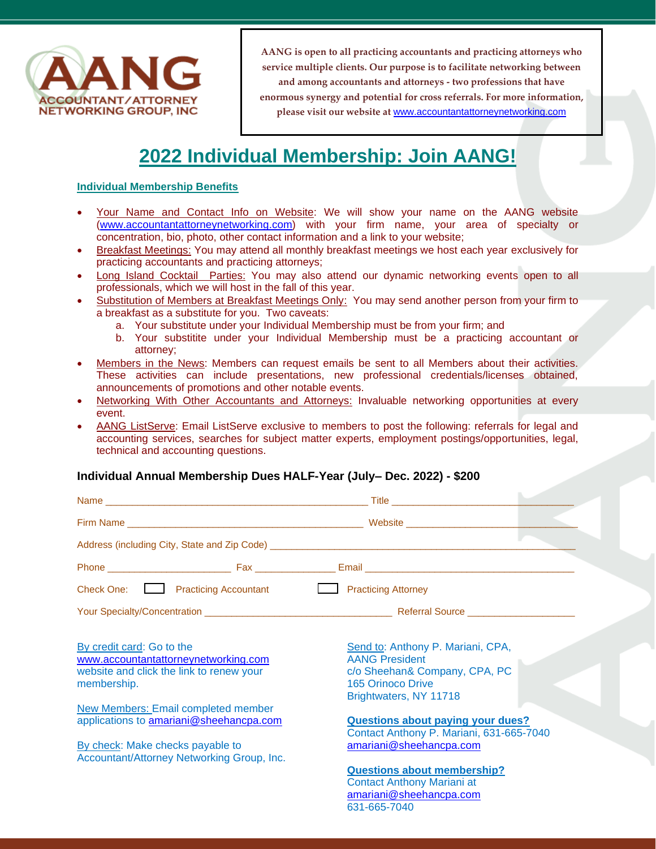

# **2022 Individual Membership: Join AANG!**

### **Individual Membership Benefits**

- Your Name and Contact Info on Website: We will show your name on the AANG website [\(www.accountantattorneynetworking.com\)](http://www.accountantattorneynetworking.com/) with your firm name, your area of specialty or concentration, bio, photo, other contact information and a link to your website;
- Breakfast Meetings: You may attend all monthly breakfast meetings we host each year exclusively for practicing accountants and practicing attorneys;
- **Long Island Cocktail Parties: You may also attend our dynamic networking events open to all** professionals, which we will host in the fall of this year.
- Substitution of Members at Breakfast Meetings Only: You may send another person from your firm to a breakfast as a substitute for you. Two caveats:
	- a. Your substitute under your Individual Membership must be from your firm; and
	- b. Your substitite under your Individual Membership must be a practicing accountant or attorney;
- Members in the News: Members can request emails be sent to all Members about their activities. These activities can include presentations, new professional credentials/licenses obtained, announcements of promotions and other notable events.
- Networking With Other Accountants and Attorneys: Invaluable networking opportunities at every event.
- AANG ListServe: Email ListServe exclusive to members to post the following: referrals for legal and accounting services, searches for subject matter experts, employment postings/opportunities, legal, technical and accounting questions.

## **Individual Annual Membership Dues HALF-Year (July– Dec. 2022) - \$200**

| Check One: <u>Landelland Practicing</u> Accountant                                                                           | <b>Exercise</b> Practicing Attorney                                                                                                        |
|------------------------------------------------------------------------------------------------------------------------------|--------------------------------------------------------------------------------------------------------------------------------------------|
|                                                                                                                              |                                                                                                                                            |
| By credit card: Go to the<br>www.accountantattorneynetworking.com<br>website and click the link to renew your<br>membership. | Send to: Anthony P. Mariani, CPA,<br><b>AANG President</b><br>c/o Sheehan& Company, CPA, PC<br>165 Orinoco Drive<br>Brightwaters, NY 11718 |
| <b>New Members: Email completed member</b><br>applications to amariani@sheehancpa.com                                        | <b>Questions about paying your dues?</b><br>Contact Anthony P. Mariani, 631-665-7040                                                       |
| By check: Make checks payable to<br>Accountant/Attorney Networking Group, Inc.                                               | amariani@sheehancpa.com                                                                                                                    |
|                                                                                                                              | <b>Questions about membership?</b><br><b>Contact Anthony Mariani at</b><br>amariani@sheehancpa.com<br>631-665-7040                         |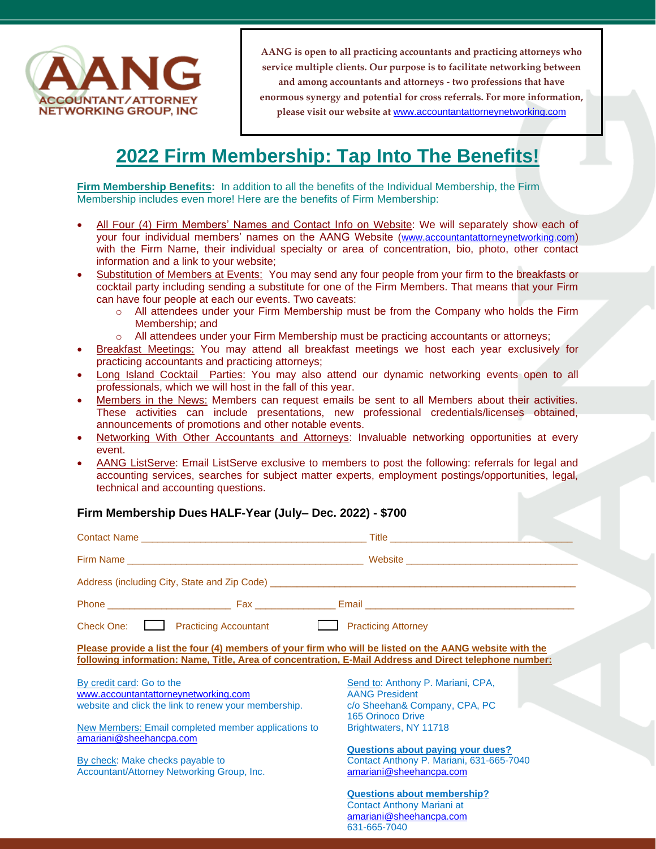

## **2022 Firm Membership: Tap Into The Benefits!**

**Firm Membership Benefits:** In addition to all the benefits of the Individual Membership, the Firm Membership includes even more! Here are the benefits of Firm Membership:

- All Four (4) Firm Members' Names and Contact Info on Website: We will separately show each of your four individual members' names on the AANG Website ([www.accountantattorneynetworking.com](http://www.accountantattorneynetworking.com/)) with the Firm Name, their individual specialty or area of concentration, bio, photo, other contact information and a link to your website;
- Substitution of Members at Events: You may send any four people from your firm to the breakfasts or cocktail party including sending a substitute for one of the Firm Members. That means that your Firm can have four people at each our events. Two caveats:
	- o All attendees under your Firm Membership must be from the Company who holds the Firm Membership; and
	- o All attendees under your Firm Membership must be practicing accountants or attorneys;
- Breakfast Meetings: You may attend all breakfast meetings we host each year exclusively for practicing accountants and practicing attorneys;
- Long Island Cocktail Parties: You may also attend our dynamic networking events open to all professionals, which we will host in the fall of this year.
- Members in the News: Members can request emails be sent to all Members about their activities. These activities can include presentations, new professional credentials/licenses obtained, announcements of promotions and other notable events.
- Networking With Other Accountants and Attorneys: Invaluable networking opportunities at every event.
- AANG ListServe: Email ListServe exclusive to members to post the following: referrals for legal and accounting services, searches for subject matter experts, employment postings/opportunities, legal, technical and accounting questions.

#### **Firm Membership Dues HALF-Year (July– Dec. 2022) - \$700** Contact Name \_\_\_\_\_\_\_\_\_\_\_\_\_\_\_\_\_\_\_\_\_\_\_\_\_\_\_\_\_\_\_\_\_\_\_\_\_\_\_\_\_\_ Title \_\_\_\_\_\_\_\_\_\_\_\_\_\_\_\_\_\_\_\_\_\_\_\_\_\_\_\_\_\_\_\_\_\_ Firm Name \_\_\_\_\_\_\_\_\_\_\_\_\_\_\_\_\_\_\_\_\_\_\_\_\_\_\_\_\_\_\_\_\_\_\_\_\_\_\_\_\_\_\_\_ Website \_\_\_\_\_\_\_\_\_\_\_\_\_\_\_\_\_\_\_\_\_\_\_\_\_\_\_\_\_\_\_\_ Address (including City, State and Zip Code) Phone \_\_\_\_\_\_\_\_\_\_\_\_\_\_\_\_\_\_\_\_\_\_\_ Fax \_\_\_\_\_\_\_\_\_\_\_\_\_\_\_ Email \_\_\_\_\_\_\_\_\_\_\_\_\_\_\_\_\_\_\_\_\_\_\_\_\_\_\_\_\_\_\_\_\_\_\_\_\_\_\_ Check One: Practicing Accountant Practicing Attorney **Please provide a list the four (4) members of your firm who will be listed on the AANG website with the following information: Name, Title, Area of concentration, E-Mail Address and Direct telephone number:**  By credit card: Go to the [www.accountantattorneynetworking.com](http://www.accountantattorneynetworking.com/) website and click the link to renew your membership. New Members: Email completed member applications to [amariani@sheehancpa.com](mailto:amariani@sheehancpa.com) By check: Make checks payable to Accountant/Attorney Networking Group, Inc. Send to: Anthony P. Mariani, CPA, AANG President c/o Sheehan& Company, CPA, PC 165 Orinoco Drive Brightwaters, NY 11718 **Questions about paying your dues?**  Contact Anthony P. Mariani, 631-665-7040 [amariani@sheehancpa.com](mailto:amariani@sheehancpa.com) **Questions about membership?** Contact Anthony Mariani at [amariani@sheehancpa.com](mailto:amariani@sheehancpa.com)

631-665-7040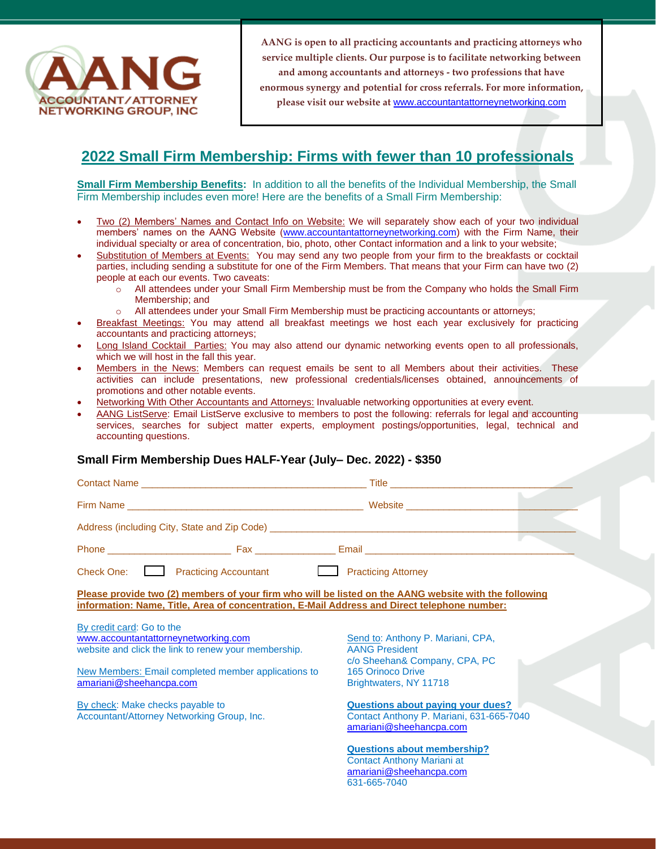

## **2022 Small Firm Membership: Firms with fewer than 10 professionals**

**Small Firm Membership Benefits:** In addition to all the benefits of the Individual Membership, the Small Firm Membership includes even more! Here are the benefits of a Small Firm Membership:

- Two (2) Members' Names and Contact Info on Website: We will separately show each of your two individual members' names on the AANG Website [\(www.accountantattorneynetworking.com\)](http://www.accountantattorneynetworking.com/) with the Firm Name, their individual specialty or area of concentration, bio, photo, other Contact information and a link to your website;
- Substitution of Members at Events: You may send any two people from your firm to the breakfasts or cocktail parties, including sending a substitute for one of the Firm Members. That means that your Firm can have two (2) people at each our events. Two caveats:
	- All attendees under your Small Firm Membership must be from the Company who holds the Small Firm Membership; and
	- o All attendees under your Small Firm Membership must be practicing accountants or attorneys;
- Breakfast Meetings: You may attend all breakfast meetings we host each year exclusively for practicing accountants and practicing attorneys;
- Long Island Cocktail Parties: You may also attend our dynamic networking events open to all professionals, which we will host in the fall this year.
- Members in the News: Members can request emails be sent to all Members about their activities. These activities can include presentations, new professional credentials/licenses obtained, announcements of promotions and other notable events.
- Networking With Other Accountants and Attorneys: Invaluable networking opportunities at every event.
- AANG ListServe: Email ListServe exclusive to members to post the following: referrals for legal and accounting services, searches for subject matter experts, employment postings/opportunities, legal, technical and accounting questions.

## **Small Firm Membership Dues HALF-Year (July– Dec. 2022) - \$350**

| Check One: Practicing Accountant Practicing Attorney                                                  |                                          |
|-------------------------------------------------------------------------------------------------------|------------------------------------------|
| Please provide two (2) members of your firm who will be listed on the AANG website with the following |                                          |
| information: Name, Title, Area of concentration, E-Mail Address and Direct telephone number:          |                                          |
| By credit card: Go to the                                                                             |                                          |
| www.accountantattorneynetworking.com                                                                  | Send to: Anthony P. Mariani, CPA,        |
| website and click the link to renew your membership.                                                  | <b>AANG President</b>                    |
|                                                                                                       | c/o Sheehan& Company, CPA, PC            |
| New Members: Email completed member applications to                                                   | 165 Orinoco Drive                        |
| amariani@sheehancpa.com                                                                               | Brightwaters, NY 11718                   |
| By check: Make checks payable to                                                                      | <b>Questions about paying your dues?</b> |
| Accountant/Attorney Networking Group, Inc.                                                            | Contact Anthony P. Mariani, 631-665-7040 |
|                                                                                                       | amariani@sheehancpa.com                  |
|                                                                                                       | <b>Questions about membership?</b>       |
|                                                                                                       | <b>Contact Anthony Mariani at</b>        |
|                                                                                                       | amariani@sheehancpa.com                  |
|                                                                                                       | 631-665-7040                             |